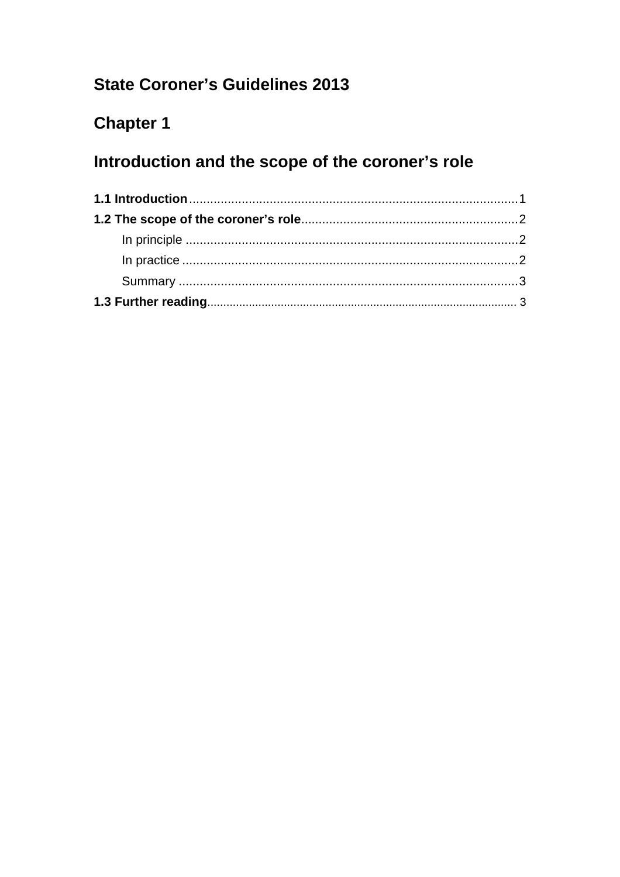## **State Coroner's Guidelines 2013**

# **Chapter 1**

# Introduction and the scope of the coroner's role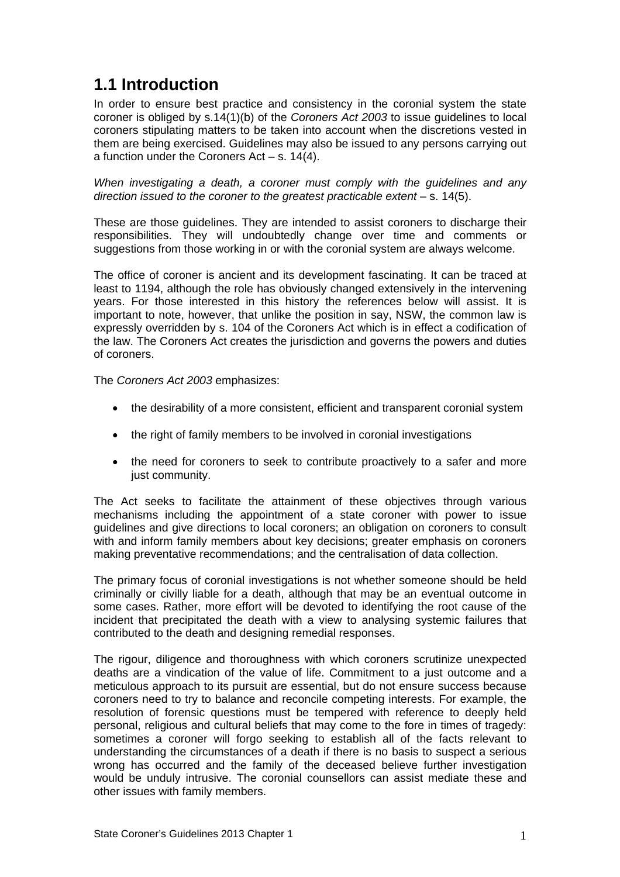### <span id="page-1-0"></span>**1.1 Introduction**

In order to ensure best practice and consistency in the coronial system the state coroner is obliged by s.14(1)(b) of the *Coroners Act 2003* to issue guidelines to local coroners stipulating matters to be taken into account when the discretions vested in them are being exercised. Guidelines may also be issued to any persons carrying out a function under the Coroners Act – s. 14(4).

*When investigating a death, a coroner must comply with the guidelines and any direction issued to the coroner to the greatest practicable extent* – s. 14(5).

These are those guidelines. They are intended to assist coroners to discharge their responsibilities. They will undoubtedly change over time and comments or suggestions from those working in or with the coronial system are always welcome.

The office of coroner is ancient and its development fascinating. It can be traced at least to 1194, although the role has obviously changed extensively in the intervening years. For those interested in this history the references below will assist. It is important to note, however, that unlike the position in say, NSW, the common law is expressly overridden by s. 104 of the Coroners Act which is in effect a codification of the law. The Coroners Act creates the jurisdiction and governs the powers and duties of coroners.

The *Coroners Act 2003* emphasizes:

- the desirability of a more consistent, efficient and transparent coronial system
- the right of family members to be involved in coronial investigations
- the need for coroners to seek to contribute proactively to a safer and more just community.

The Act seeks to facilitate the attainment of these objectives through various mechanisms including the appointment of a state coroner with power to issue guidelines and give directions to local coroners; an obligation on coroners to consult with and inform family members about key decisions; greater emphasis on coroners making preventative recommendations; and the centralisation of data collection.

The primary focus of coronial investigations is not whether someone should be held criminally or civilly liable for a death, although that may be an eventual outcome in some cases. Rather, more effort will be devoted to identifying the root cause of the incident that precipitated the death with a view to analysing systemic failures that contributed to the death and designing remedial responses.

The rigour, diligence and thoroughness with which coroners scrutinize unexpected deaths are a vindication of the value of life. Commitment to a just outcome and a meticulous approach to its pursuit are essential, but do not ensure success because coroners need to try to balance and reconcile competing interests. For example, the resolution of forensic questions must be tempered with reference to deeply held personal, religious and cultural beliefs that may come to the fore in times of tragedy: sometimes a coroner will forgo seeking to establish all of the facts relevant to understanding the circumstances of a death if there is no basis to suspect a serious wrong has occurred and the family of the deceased believe further investigation would be unduly intrusive. The coronial counsellors can assist mediate these and other issues with family members.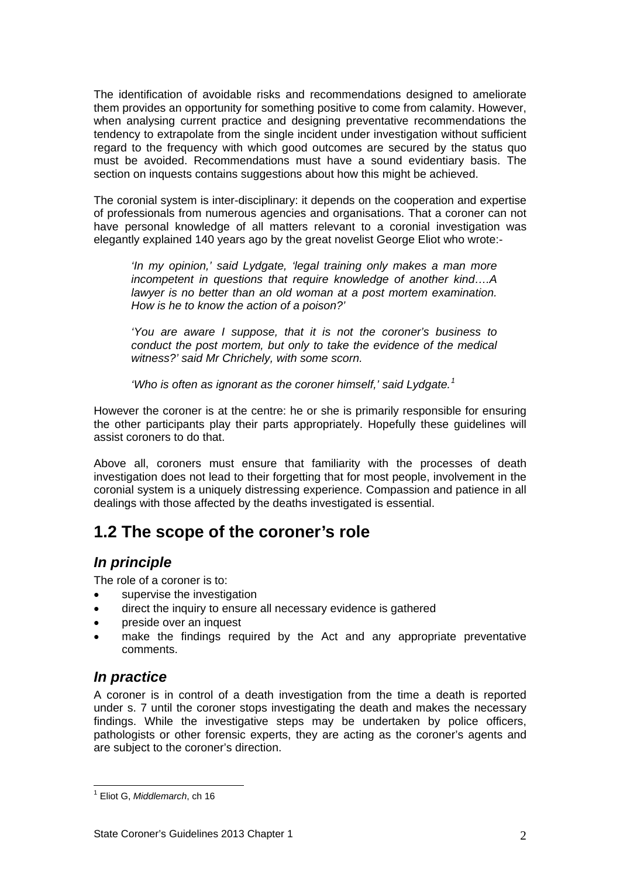<span id="page-2-0"></span>The identification of avoidable risks and recommendations designed to ameliorate them provides an opportunity for something positive to come from calamity. However, when analysing current practice and designing preventative recommendations the tendency to extrapolate from the single incident under investigation without sufficient regard to the frequency with which good outcomes are secured by the status quo must be avoided. Recommendations must have a sound evidentiary basis. The section on inquests contains suggestions about how this might be achieved.

The coronial system is inter-disciplinary: it depends on the cooperation and expertise of professionals from numerous agencies and organisations. That a coroner can not have personal knowledge of all matters relevant to a coronial investigation was elegantly explained 140 years ago by the great novelist George Eliot who wrote:-

*'In my opinion,' said Lydgate, 'legal training only makes a man more incompetent in questions that require knowledge of another kind….A lawyer is no better than an old woman at a post mortem examination. How is he to know the action of a poison?'* 

*'You are aware I suppose, that it is not the coroner's business to conduct the post mortem, but only to take the evidence of the medical witness?' said Mr Chrichely, with some scorn.* 

*'Who is often as ignorant as the coroner himself,' said Lydgate.[1](#page-2-1)*

However the coroner is at the centre: he or she is primarily responsible for ensuring the other participants play their parts appropriately. Hopefully these guidelines will assist coroners to do that.

Above all, coroners must ensure that familiarity with the processes of death investigation does not lead to their forgetting that for most people, involvement in the coronial system is a uniquely distressing experience. Compassion and patience in all dealings with those affected by the deaths investigated is essential.

### **1.2 The scope of the coroner's role**

### *In principle*

The role of a coroner is to:

- supervise the investigation
- direct the inquiry to ensure all necessary evidence is gathered
- preside over an inquest
- make the findings required by the Act and any appropriate preventative comments.

#### *In practice*

A coroner is in control of a death investigation from the time a death is reported under s. 7 until the coroner stops investigating the death and makes the necessary findings. While the investigative steps may be undertaken by police officers, pathologists or other forensic experts, they are acting as the coroner's agents and are subject to the coroner's direction.

<span id="page-2-1"></span> $\overline{a}$ 1 Eliot G, *Middlemarch*, ch 16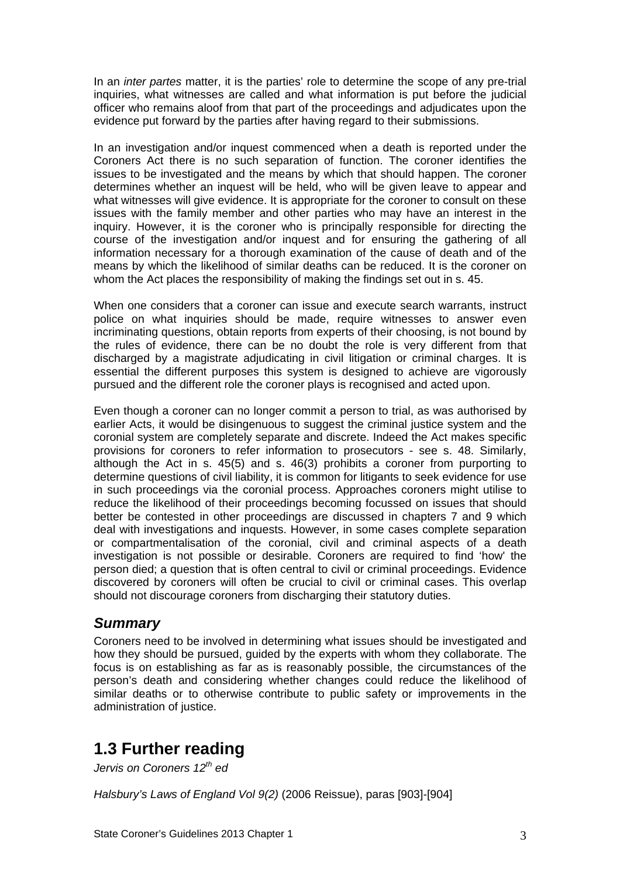<span id="page-3-0"></span>In an *inter partes* matter, it is the parties' role to determine the scope of any pre-trial inquiries, what witnesses are called and what information is put before the judicial officer who remains aloof from that part of the proceedings and adjudicates upon the evidence put forward by the parties after having regard to their submissions.

In an investigation and/or inquest commenced when a death is reported under the Coroners Act there is no such separation of function. The coroner identifies the issues to be investigated and the means by which that should happen. The coroner determines whether an inquest will be held, who will be given leave to appear and what witnesses will give evidence. It is appropriate for the coroner to consult on these issues with the family member and other parties who may have an interest in the inquiry. However, it is the coroner who is principally responsible for directing the course of the investigation and/or inquest and for ensuring the gathering of all information necessary for a thorough examination of the cause of death and of the means by which the likelihood of similar deaths can be reduced. It is the coroner on whom the Act places the responsibility of making the findings set out in s. 45.

When one considers that a coroner can issue and execute search warrants, instruct police on what inquiries should be made, require witnesses to answer even incriminating questions, obtain reports from experts of their choosing, is not bound by the rules of evidence, there can be no doubt the role is very different from that discharged by a magistrate adjudicating in civil litigation or criminal charges. It is essential the different purposes this system is designed to achieve are vigorously pursued and the different role the coroner plays is recognised and acted upon.

Even though a coroner can no longer commit a person to trial, as was authorised by earlier Acts, it would be disingenuous to suggest the criminal justice system and the coronial system are completely separate and discrete. Indeed the Act makes specific provisions for coroners to refer information to prosecutors - see s. 48. Similarly, although the Act in s. 45(5) and s. 46(3) prohibits a coroner from purporting to determine questions of civil liability, it is common for litigants to seek evidence for use in such proceedings via the coronial process. Approaches coroners might utilise to reduce the likelihood of their proceedings becoming focussed on issues that should better be contested in other proceedings are discussed in chapters 7 and 9 which deal with investigations and inquests. However, in some cases complete separation or compartmentalisation of the coronial, civil and criminal aspects of a death investigation is not possible or desirable. Coroners are required to find 'how' the person died; a question that is often central to civil or criminal proceedings. Evidence discovered by coroners will often be crucial to civil or criminal cases. This overlap should not discourage coroners from discharging their statutory duties.

#### *Summary*

Coroners need to be involved in determining what issues should be investigated and how they should be pursued, guided by the experts with whom they collaborate. The focus is on establishing as far as is reasonably possible, the circumstances of the person's death and considering whether changes could reduce the likelihood of similar deaths or to otherwise contribute to public safety or improvements in the administration of justice.

## **1.3 Further reading**

*Jervis on Coroners 12th ed*

*Halsbury's Laws of England Vol 9(2)* (2006 Reissue), paras [903]-[904]